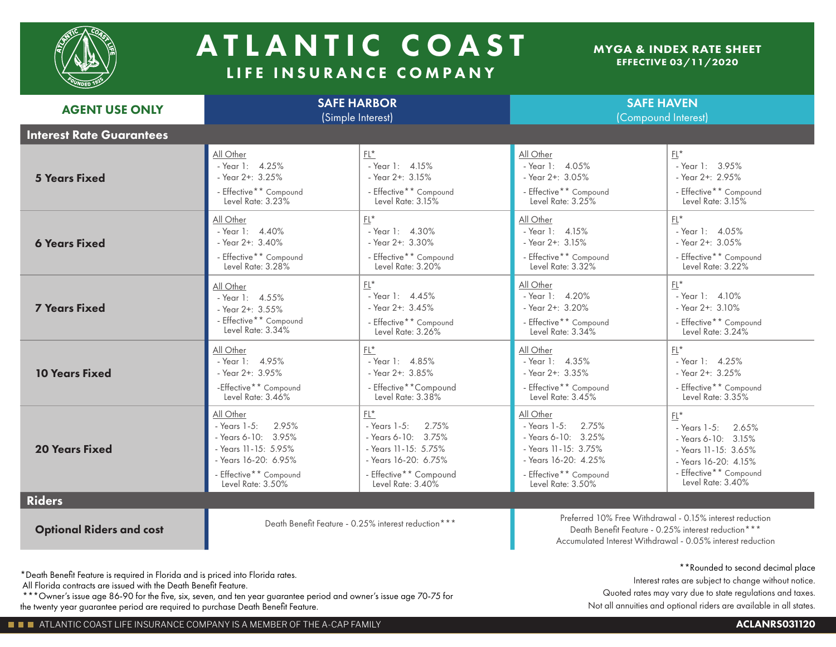

## A TLANTIC COAST LIFE INSURANCE COMPANY

## MYGA & INDEX RATE SHEET EFFECTIVE 03/11/2020

| <b>AGENT USE ONLY</b>           | <b>SAFE HARBOR</b><br>(Simple Interest) |                                                      | <b>SAFE HAVEN</b><br>(Compound Interest)                                                                                                                                      |                        |
|---------------------------------|-----------------------------------------|------------------------------------------------------|-------------------------------------------------------------------------------------------------------------------------------------------------------------------------------|------------------------|
| <b>Interest Rate Guarantees</b> |                                         |                                                      |                                                                                                                                                                               |                        |
| <b>5 Years Fixed</b>            | All Other                               | $FL*$                                                | All Other                                                                                                                                                                     | $FL*$                  |
|                                 | - Year 1: 4.25%                         | - Year 1: $4.15%$                                    | - Year 1: $4.05\%$                                                                                                                                                            | - Year 1: 3.95%        |
|                                 | - Year $2+$ : $3.25%$                   | - Year $2+: 3.15\%$                                  | - Year $2 + 3.05%$                                                                                                                                                            | - Year 2+: 2.95%       |
|                                 | - Effective** Compound                  | - Effective** Compound                               | - Effective** Compound                                                                                                                                                        | - Effective** Compound |
|                                 | Level Rate: 3.23%                       | Level Rate: $3.15\%$                                 | Level Rate: 3.25%                                                                                                                                                             | Level Rate: 3.15%      |
| <b>6 Years Fixed</b>            | All Other                               | $FL*$                                                | All Other                                                                                                                                                                     | $FL*$                  |
|                                 | - Year 1: $4.40\%$                      | - Year 1: $4.30\%$                                   | - Year 1: $4.15%$                                                                                                                                                             | - Year 1: $4.05%$      |
|                                 | - Year $2 + 3.40\%$                     | - Year 2+: 3.30%                                     | - Year $2+: 3.15%$                                                                                                                                                            | - Year 2+: 3.05%       |
|                                 | - Effective** Compound                  | - Effective** Compound                               | - Effective** Compound                                                                                                                                                        | - Effective** Compound |
|                                 | Level Rate: 3.28%                       | Level Rate: 3.20%                                    | Level Rate: 3.32%                                                                                                                                                             | Level Rate: 3.22%      |
| <b>7 Years Fixed</b>            | All Other                               | $FI^*$                                               | All Other                                                                                                                                                                     | $FL*$                  |
|                                 | - Year 1: 4.55%                         | - Year 1: $4.45\%$                                   | - Year 1: 4.20%                                                                                                                                                               | - Year 1: $4.10\%$     |
|                                 | - Year $2+$ : $3.55\%$                  | - Year $2+: 3.45%$                                   | - Year 2+: 3.20%                                                                                                                                                              | - Year $2+: 3.10\%$    |
|                                 | - Effective** Compound                  | - Effective** Compound                               | - Effective** Compound                                                                                                                                                        | - Effective** Compound |
|                                 | Level Rate: 3.34%                       | Level Rate: 3.26%                                    | Level Rate: 3.34%                                                                                                                                                             | Level Rate: 3.24%      |
| <b>10 Years Fixed</b>           | All Other                               | $FL*$                                                | All Other                                                                                                                                                                     | $FL*$                  |
|                                 | - Year 1: 4.95%                         | - Year $1: 4.85%$                                    | - Year $1: 4.35%$                                                                                                                                                             | - Year 1: $4.25\%$     |
|                                 | - Year 2+: 3.95%                        | - Year 2+: 3.85%                                     | - Year $2+: 3.35%$                                                                                                                                                            | - Year 2+: 3.25%       |
|                                 | -Effective** Compound                   | - Effective**Compound                                | - Effective** Compound                                                                                                                                                        | - Effective** Compound |
|                                 | Level Rate: 3.46%                       | Level Rate: 3.38%                                    | Level Rate: 3.45%                                                                                                                                                             | Level Rate: 3.35%      |
| <b>20 Years Fixed</b>           | All Other                               | $\mathsf{FL}^\star$                                  | All Other                                                                                                                                                                     | $FL*$                  |
|                                 | 2.95%                                   | 2.75%                                                | 2.75%                                                                                                                                                                         | - Years 1-5:           |
|                                 | - Years 1-5:                            | - Years 1-5:                                         | - Years 1-5:                                                                                                                                                                  | 2.65%                  |
|                                 | - Years 6-10: 3.95%                     | - Years 6-10: 3.75%                                  | - Years 6-10: 3.25%                                                                                                                                                           | - Years 6-10: 3.15%    |
|                                 | - Years 11-15: 5.95%                    | - Years 11-15: 5.75%                                 | - Years 11-15: 3.75%                                                                                                                                                          | - Years 11-15: 3.65%   |
|                                 | - Years 16-20: 6.95%                    | - Years 16-20: 6.75%                                 | - Years 16-20: 4.25%                                                                                                                                                          | - Years 16-20: 4.15%   |
|                                 | - Effective** Compound                  | - Effective** Compound                               | - Effective** Compound                                                                                                                                                        | - Effective** Compound |
|                                 | Level Rate: 3.50%                       | Level Rate: 3.40%                                    | Level Rate: 3.50%                                                                                                                                                             | Level Rate: 3.40%      |
| <b>Riders</b>                   |                                         |                                                      |                                                                                                                                                                               |                        |
| <b>Optional Riders and cost</b> |                                         | Death Benefit Feature - 0.25% interest reduction *** | Preferred 10% Free Withdrawal - 0.15% interest reduction<br>Death Benefit Feature - 0.25% interest reduction***<br>Accumulated Interest Withdrawal - 0.05% interest reduction |                        |

\*Death Benefit Feature is required in Florida and is priced into Florida rates.

All Florida contracts are issued with the Death Benefit Feature.

 \*\*\*Owner's issue age 86-90 for the five, six, seven, and ten year guarantee period and owner's issue age 70-75 for the twenty year guarantee period are required to purchase Death Benefit Feature.

## \*\*Rounded to second decimal place

Interest rates are subject to change without notice. Quoted rates may vary due to state regulations and taxes. Not all annuities and optional riders are available in all states.